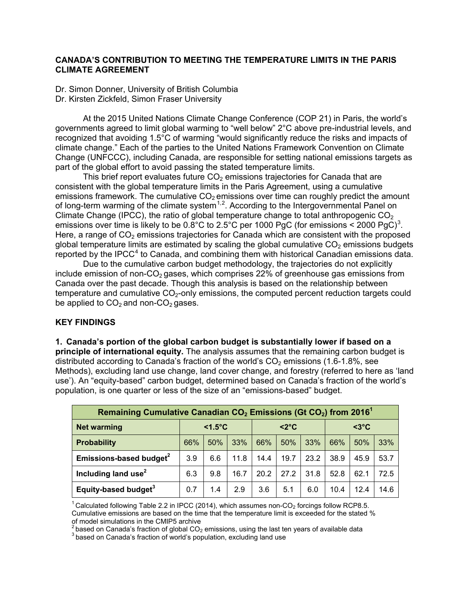## **CANADA'S CONTRIBUTION TO MEETING THE TEMPERATURE LIMITS IN THE PARIS CLIMATE AGREEMENT**

Dr. Simon Donner, University of British Columbia Dr. Kirsten Zickfeld, Simon Fraser University

At the 2015 United Nations Climate Change Conference (COP 21) in Paris, the world's governments agreed to limit global warming to "well below" 2°C above pre-industrial levels, and recognized that avoiding 1.5°C of warming "would significantly reduce the risks and impacts of climate change." Each of the parties to the United Nations Framework Convention on Climate Change (UNFCCC), including Canada, are responsible for setting national emissions targets as part of the global effort to avoid passing the stated temperature limits.

This brief report evaluates future  $CO<sub>2</sub>$  emissions trajectories for Canada that are consistent with the global temperature limits in the Paris Agreement, using a cumulative emissions framework. The cumulative  $CO<sub>2</sub>$  emissions over time can roughly predict the amount of long-term warming of the climate system<sup>[1](#page-2-0),[2](#page-2-1)</sup>. According to the Intergovernmental Panel on Climate Change (IPCC), the ratio of global temperature change to total anthropogenic  $CO<sub>2</sub>$ emissions over time is likely to be 0.8°C to 2.5°C per 1000 PgC (for emissions < 2000 PgC)<sup>[3](#page-2-2)</sup>. Here, a range of  $CO<sub>2</sub>$  emissions trajectories for Canada which are consistent with the proposed global temperature limits are estimated by scaling the global cumulative  $CO<sub>2</sub>$  emissions budgets reported by the IPCC $4$  to Canada, and combining them with historical Canadian emissions data.

Due to the cumulative carbon budget methodology, the trajectories do not explicitly include emission of non- $CO<sub>2</sub>$  gases, which comprises 22% of greenhouse gas emissions from Canada over the past decade. Though this analysis is based on the relationship between temperature and cumulative  $CO<sub>2</sub>$ -only emissions, the computed percent reduction targets could be applied to  $CO<sub>2</sub>$  and non- $CO<sub>2</sub>$  gases.

## **KEY FINDINGS**

**1. Canada's portion of the global carbon budget is substantially lower if based on a principle of international equity.** The analysis assumes that the remaining carbon budget is distributed according to Canada's fraction of the world's  $CO<sub>2</sub>$  emissions (1.6-1.8%, see Methods), excluding land use change, land cover change, and forestry (referred to here as 'land use'). An "equity-based" carbon budget, determined based on Canada's fraction of the world's population, is one quarter or less of the size of an "emissions-based" budget.

| Remaining Cumulative Canadian $CO2$ Emissions (Gt $CO2$ ) from 2016 <sup>1</sup> |                  |     |      |                |      |      |                    |      |      |
|----------------------------------------------------------------------------------|------------------|-----|------|----------------|------|------|--------------------|------|------|
| <b>Net warming</b>                                                               | $<1.5^{\circ}$ C |     |      | $< 2^{\circ}C$ |      |      | $<$ 3 $^{\circ}$ C |      |      |
| <b>Probability</b>                                                               | 66%              | 50% | 33%  | 66%            | 50%  | 33%  | 66%                | 50%  | 33%  |
| Emissions-based budget <sup>2</sup>                                              | 3.9              | 6.6 | 11.8 | 14.4           | 19.7 | 23.2 | 38.9               | 45.9 | 53.7 |
| Including land use <sup>2</sup>                                                  | 6.3              | 9.8 | 16.7 | 20.2           | 27.2 | 31.8 | 52.8               | 62.1 | 72.5 |
| Equity-based budget <sup>3</sup>                                                 | 0.7              | 1.4 | 2.9  | 3.6            | 5.1  | 6.0  | 10.4               | 12.4 | 14.6 |

 $^1$ Calculated following Table 2.2 in IPCC (2014), which assumes non-CO<sub>2</sub> forcings follow RCP8.5. Cumulative emissions are based on the time that the temperature limit is exceeded for the stated % of model simulations in the CMIP5 archive<br> $^2$ based on Canada's fraction of global CO<sub>2</sub> emissions, using the last ten years of available data

<sup>3</sup> based on Canada's fraction of world's population, excluding land use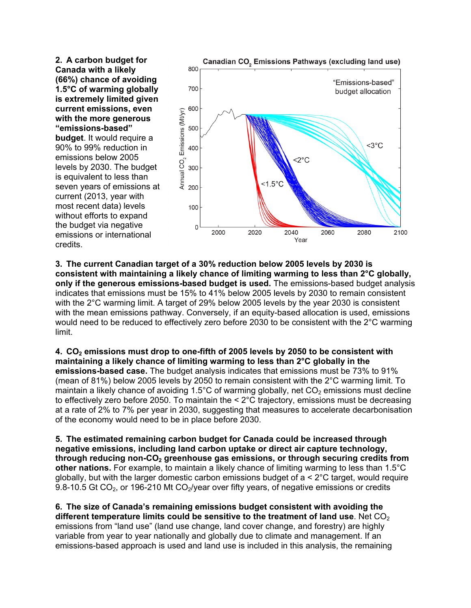**2. A carbon budget for Canada with a likely (66%) chance of avoiding 1.5°C of warming globally is extremely limited given current emissions, even with the more generous "emissions-based" budget**. It would require a 90% to 99% reduction in emissions below 2005 levels by 2030. The budget is equivalent to less than seven years of emissions at current (2013, year with most recent data) levels without efforts to expand the budget via negative emissions or international credits.



**3. The current Canadian target of a 30% reduction below 2005 levels by 2030 is consistent with maintaining a likely chance of limiting warming to less than 2°C globally, only if the generous emissions-based budget is used.** The emissions-based budget analysis indicates that emissions must be 15% to 41% below 2005 levels by 2030 to remain consistent with the 2°C warming limit. A target of 29% below 2005 levels by the year 2030 is consistent with the mean emissions pathway. Conversely, if an equity-based allocation is used, emissions would need to be reduced to effectively zero before 2030 to be consistent with the 2°C warming limit.

**4. CO2 emissions must drop to one-fifth of 2005 levels by 2050 to be consistent with maintaining a likely chance of limiting warming to less than 2°C globally in the emissions-based case.** The budget analysis indicates that emissions must be 73% to 91% (mean of 81%) below 2005 levels by 2050 to remain consistent with the 2°C warming limit. To maintain a likely chance of avoiding 1.5°C of warming globally, net  $CO<sub>2</sub>$  emissions must decline to effectively zero before 2050. To maintain the < 2°C trajectory, emissions must be decreasing at a rate of 2% to 7% per year in 2030, suggesting that measures to accelerate decarbonisation of the economy would need to be in place before 2030.

**5. The estimated remaining carbon budget for Canada could be increased through negative emissions, including land carbon uptake or direct air capture technology, through reducing non-CO2 greenhouse gas emissions, or through securing credits from other nations.** For example, to maintain a likely chance of limiting warming to less than 1.5°C globally, but with the larger domestic carbon emissions budget of  $a < 2^{\circ}$ C target, would require 9.8-10.5 Gt  $CO<sub>2</sub>$ , or 196-210 Mt  $CO<sub>2</sub>/year$  over fifty years, of negative emissions or credits

**6. The size of Canada's remaining emissions budget consistent with avoiding the different temperature limits could be sensitive to the treatment of land use**. Net CO<sub>2</sub> emissions from "land use" (land use change, land cover change, and forestry) are highly variable from year to year nationally and globally due to climate and management. If an emissions-based approach is used and land use is included in this analysis, the remaining